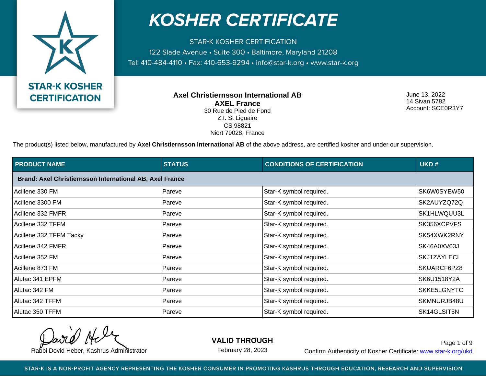

**STAR-K KOSHER CERTIFICATION** 122 Slade Avenue · Suite 300 · Baltimore, Maryland 21208 Tel: 410-484-4110 · Fax: 410-653-9294 · info@star-k.org · www.star-k.org

> **Axel Christiernsson International AB AXEL France** 30 Rue de Pied de Fond Z.I. St Liguaire CS 98821

Niort 79028, France

June 13, 2022 14 Sivan 5782 Account: SCE0R3Y7

The product(s) listed below, manufactured by **Axel Christiernsson International AB** of the above address, are certified kosher and under our supervision.

| <b>PRODUCT NAME</b>                                      | <b>STATUS</b> | <b>CONDITIONS OF CERTIFICATION</b> | UKD#        |
|----------------------------------------------------------|---------------|------------------------------------|-------------|
| Brand: Axel Christiernsson International AB, Axel France |               |                                    |             |
| Acillene 330 FM                                          | Pareve        | Star-K symbol required.            | SK6W0SYEW50 |
| Acillene 3300 FM                                         | Pareve        | Star-K symbol required.            | SK2AUYZQ72Q |
| Acillene 332 FMFR                                        | Pareve        | Star-K symbol required.            | SK1HLWQUU3L |
| Acillene 332 TFFM                                        | Pareve        | Star-K symbol required.            | SK356XCPVFS |
| Acillene 332 TFFM Tacky                                  | Pareve        | Star-K symbol required.            | SK54XWK2RNY |
| Acillene 342 FMFR                                        | Pareve        | Star-K symbol required.            | SK46A0XV03J |
| Acillene 352 FM                                          | Pareve        | Star-K symbol required.            | SKJ1ZAYLECI |
| Acillene 873 FM                                          | Pareve        | Star-K symbol required.            | SKUARCF6PZ8 |
| Alutac 341 EPFM                                          | Pareve        | Star-K symbol required.            | SK6U1518Y2A |
| Alutac 342 FM                                            | Pareve        | Star-K symbol required.            | SKKE5LGNYTC |
| Alutac 342 TFFM                                          | Pareve        | Star-K symbol required.            | SKMNURJB48U |
| Alutac 350 TFFM                                          | Pareve        | Star-K symbol required.            | SK14GLSIT5N |

**VALID THROUGH**

February 28, 2023

Rabbi Dovid Heber, Kashrus Administrator **Confirm Authenticity of Kosher Certificate:** www.star-k.org/ukd Page 1 of 9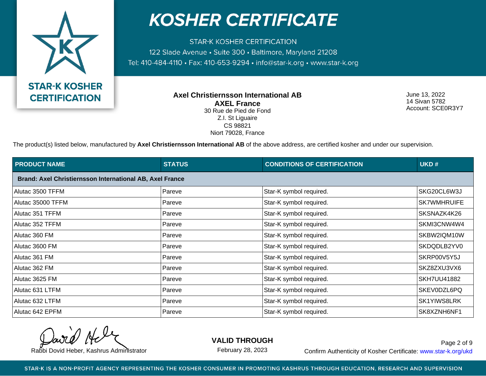

**STAR-K KOSHER CERTIFICATION** 122 Slade Avenue · Suite 300 · Baltimore, Maryland 21208 Tel: 410-484-4110 · Fax: 410-653-9294 · info@star-k.org · www.star-k.org

> **Axel Christiernsson International AB AXEL France** 30 Rue de Pied de Fond Z.I. St Liguaire CS 98821

Niort 79028, France

June 13, 2022 14 Sivan 5782 Account: SCE0R3Y7

The product(s) listed below, manufactured by **Axel Christiernsson International AB** of the above address, are certified kosher and under our supervision.

| <b>PRODUCT NAME</b>                                      | <b>STATUS</b> | <b>CONDITIONS OF CERTIFICATION</b> | UKD#               |
|----------------------------------------------------------|---------------|------------------------------------|--------------------|
| Brand: Axel Christiernsson International AB, Axel France |               |                                    |                    |
| Alutac 3500 TFFM                                         | Pareve        | Star-K symbol required.            | SKG20CL6W3J        |
| Alutac 35000 TFFM                                        | Pareve        | Star-K symbol required.            | <b>SK7WMHRUIFE</b> |
| Alutac 351 TFFM                                          | Pareve        | Star-K symbol required.            | SKSNAZK4K26        |
| Alutac 352 TFFM                                          | Pareve        | Star-K symbol required.            | SKMI3CNW4W4        |
| Alutac 360 FM                                            | Pareve        | Star-K symbol required.            | SKBW2IQM10W        |
| Alutac 3600 FM                                           | Pareve        | Star-K symbol required.            | SKDQDLB2YV0        |
| Alutac 361 FM                                            | Pareve        | Star-K symbol required.            | SKRP00V5Y5J        |
| Alutac 362 FM                                            | Pareve        | Star-K symbol required.            | SKZ8ZXU3VX6        |
| Alutac 3625 FM                                           | Pareve        | Star-K symbol required.            | <b>SKH7UU41882</b> |
| Alutac 631 LTFM                                          | Pareve        | Star-K symbol required.            | SKEV0DZL6PQ        |
| Alutac 632 LTFM                                          | Pareve        | Star-K symbol required.            | SK1YIWS8LRK        |
| Alutac 642 EPFM                                          | Pareve        | Star-K symbol required.            | SK8XZNH6NF1        |

**VALID THROUGH**

February 28, 2023

Rabbi Dovid Heber, Kashrus Administrator **Confirm Authenticity of Kosher Certificate:** www.star-k.org/ukd Page 2 of 9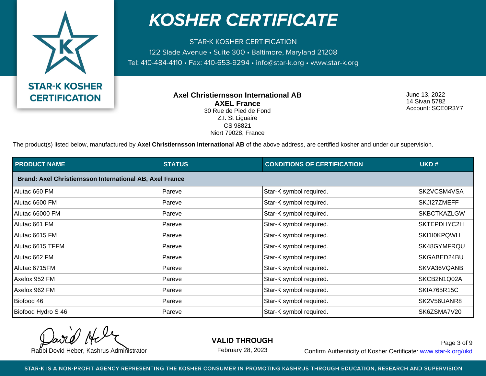

**STAR-K KOSHER CERTIFICATION** 122 Slade Avenue · Suite 300 · Baltimore, Maryland 21208 Tel: 410-484-4110 · Fax: 410-653-9294 · info@star-k.org · www.star-k.org

> **Axel Christiernsson International AB AXEL France** 30 Rue de Pied de Fond Z.I. St Liguaire CS 98821

Niort 79028, France

June 13, 2022 14 Sivan 5782 Account: SCE0R3Y7

The product(s) listed below, manufactured by **Axel Christiernsson International AB** of the above address, are certified kosher and under our supervision.

| <b>PRODUCT NAME</b>                                      | <b>STATUS</b> | <b>CONDITIONS OF CERTIFICATION</b> | UKD#               |
|----------------------------------------------------------|---------------|------------------------------------|--------------------|
| Brand: Axel Christiernsson International AB, Axel France |               |                                    |                    |
| Alutac 660 FM                                            | Pareve        | Star-K symbol required.            | SK2VCSM4VSA        |
| Alutac 6600 FM                                           | Pareve        | Star-K symbol required.            | SKJI27ZMEFF        |
| Alutac 66000 FM                                          | Pareve        | Star-K symbol required.            | <b>SKBCTKAZLGW</b> |
| Alutac 661 FM                                            | Pareve        | Star-K symbol required.            | SKTEPDHYC2H        |
| Alutac 6615 FM                                           | Pareve        | Star-K symbol required.            | SKI1I0KPQWH        |
| Alutac 6615 TFFM                                         | Pareve        | Star-K symbol required.            | SK48GYMFRQU        |
| Alutac 662 FM                                            | Pareve        | Star-K symbol required.            | SKGABED24BU        |
| Alutac 6715FM                                            | Pareve        | Star-K symbol required.            | SKVA36VQANB        |
| Axelox 952 FM                                            | Pareve        | Star-K symbol required.            | SKCB2N1Q02A        |
| Axelox 962 FM                                            | Pareve        | Star-K symbol required.            | SKIA765R15C        |
| Biofood 46                                               | Pareve        | Star-K symbol required.            | SK2V56UANR8        |
| Biofood Hydro S 46                                       | Pareve        | Star-K symbol required.            | SK6ZSMA7V20        |

**VALID THROUGH**

February 28, 2023

Rabbi Dovid Heber, Kashrus Administrator **Confirm Authenticity of Kosher Certificate:** www.star-k.org/ukd Page 3 of 9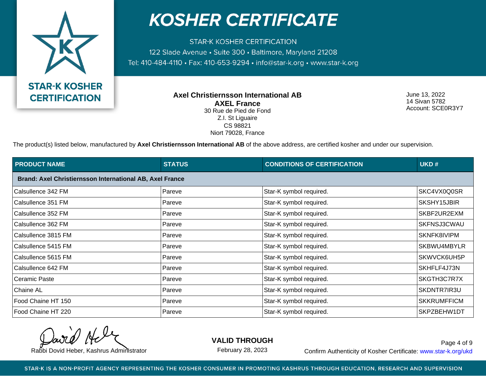

**STAR-K KOSHER CERTIFICATION** 122 Slade Avenue · Suite 300 · Baltimore, Maryland 21208 Tel: 410-484-4110 · Fax: 410-653-9294 · info@star-k.org · www.star-k.org

> **Axel Christiernsson International AB AXEL France** 30 Rue de Pied de Fond Z.I. St Liguaire CS 98821

Niort 79028, France

June 13, 2022 14 Sivan 5782 Account: SCE0R3Y7

The product(s) listed below, manufactured by **Axel Christiernsson International AB** of the above address, are certified kosher and under our supervision.

| <b>PRODUCT NAME</b>                                      | <b>STATUS</b> | <b>CONDITIONS OF CERTIFICATION</b> | UKD#               |
|----------------------------------------------------------|---------------|------------------------------------|--------------------|
| Brand: Axel Christiernsson International AB, Axel France |               |                                    |                    |
| Calsullence 342 FM                                       | Pareve        | Star-K symbol required.            | SKC4VX0Q0SR        |
| Calsullence 351 FM                                       | Pareve        | Star-K symbol required.            | SKSHY15JBIR        |
| Calsullence 352 FM                                       | Pareve        | Star-K symbol required.            | SKBF2UR2EXM        |
| Calsullence 362 FM                                       | Pareve        | Star-K symbol required.            | SKFNSJ3CWAU        |
| Calsullence 3815 FM                                      | Pareve        | Star-K symbol required.            | SKNFK8IVIPM        |
| Calsullence 5415 FM                                      | Pareve        | Star-K symbol required.            | SKBWU4MBYLR        |
| Calsullence 5615 FM                                      | Pareve        | Star-K symbol required.            | SKWVCK6UH5P        |
| Calsullence 642 FM                                       | Pareve        | Star-K symbol required.            | SKHFLF4J73N        |
| Ceramic Paste                                            | Pareve        | Star-K symbol required.            | SKGTH3C7R7X        |
| <b>Chaine AL</b>                                         | Pareve        | Star-K symbol required.            | SKDNTR7IR3U        |
| Food Chaine HT 150                                       | Pareve        | Star-K symbol required.            | <b>SKKRUMFFICM</b> |
| Food Chaine HT 220                                       | Pareve        | Star-K symbol required.            | SKPZBEHW1DT        |

**VALID THROUGH**

February 28, 2023

Rabbi Dovid Heber, Kashrus Administrator **Confirm Authenticity of Kosher Certificate:** www.star-k.org/ukd Page 4 of 9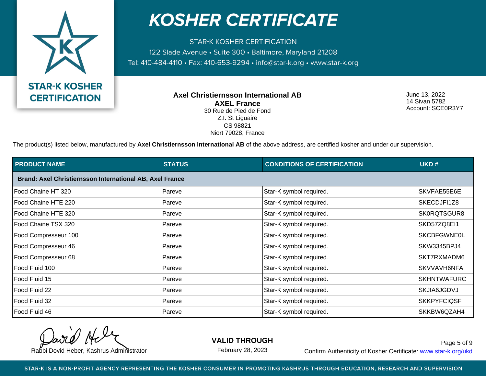

**STAR-K KOSHER CERTIFICATION** 122 Slade Avenue · Suite 300 · Baltimore, Maryland 21208 Tel: 410-484-4110 · Fax: 410-653-9294 · info@star-k.org · www.star-k.org

> **Axel Christiernsson International AB AXEL France** 30 Rue de Pied de Fond Z.I. St Liguaire CS 98821

Niort 79028, France

June 13, 2022 14 Sivan 5782 Account: SCE0R3Y7

The product(s) listed below, manufactured by Axel Christiernsson International AB of the above address, are certified kosher and under our supervision.

| <b>PRODUCT NAME</b>  | <b>STATUS</b>                                            | <b>CONDITIONS OF CERTIFICATION</b> | UKD#               |  |
|----------------------|----------------------------------------------------------|------------------------------------|--------------------|--|
|                      | Brand: Axel Christiernsson International AB, Axel France |                                    |                    |  |
| Food Chaine HT 320   | Pareve                                                   | Star-K symbol required.            | SKVFAE55E6E        |  |
| Food Chaine HTE 220  | Pareve                                                   | Star-K symbol required.            | SKECDJFI1Z8        |  |
| Food Chaine HTE 320  | Pareve                                                   | Star-K symbol required.            | SK0RQTSGUR8        |  |
| Food Chaine TSX 320  | Pareve                                                   | Star-K symbol required.            | SKD57ZQ8EI1        |  |
| Food Compresseur 100 | Pareve                                                   | Star-K symbol required.            | <b>SKCBFGWNE0L</b> |  |
| Food Compresseur 46  | Pareve                                                   | Star-K symbol required.            | SKW3345BPJ4        |  |
| Food Compresseur 68  | Pareve                                                   | Star-K symbol required.            | SKT7RXMADM6        |  |
| Food Fluid 100       | Pareve                                                   | Star-K symbol required.            | SKVVAVH6NFA        |  |
| Food Fluid 15        | Pareve                                                   | Star-K symbol required.            | <b>SKHNTWAFURC</b> |  |
| Food Fluid 22        | Pareve                                                   | Star-K symbol required.            | <b>SKJIA6JGDVJ</b> |  |
| Food Fluid 32        | Pareve                                                   | Star-K symbol required.            | <b>SKKPYFCIQSF</b> |  |
| Food Fluid 46        | Pareve                                                   | Star-K symbol required.            | SKKBW6QZAH4        |  |

**VALID THROUGH**

February 28, 2023

Rabbi Dovid Heber, Kashrus Administrator **Confirm Authenticity of Kosher Certificate:** www.star-k.org/ukd Page 5 of 9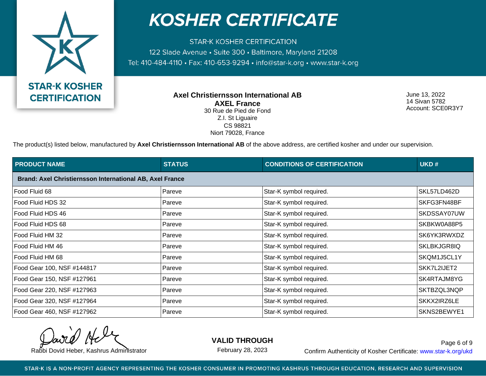

**STAR-K KOSHER CERTIFICATION** 122 Slade Avenue · Suite 300 · Baltimore, Maryland 21208 Tel: 410-484-4110 · Fax: 410-653-9294 · info@star-k.org · www.star-k.org

> **Axel Christiernsson International AB AXEL France** 30 Rue de Pied de Fond Z.I. St Liguaire CS 98821

Niort 79028, France

June 13, 2022 14 Sivan 5782 Account: SCE0R3Y7

The product(s) listed below, manufactured by **Axel Christiernsson International AB** of the above address, are certified kosher and under our supervision.

| <b>PRODUCT NAME</b>                                      | <b>STATUS</b> | <b>CONDITIONS OF CERTIFICATION</b> | UKD#        |
|----------------------------------------------------------|---------------|------------------------------------|-------------|
| Brand: Axel Christiernsson International AB, Axel France |               |                                    |             |
| Food Fluid 68                                            | Pareve        | Star-K symbol required.            | SKL57LD462D |
| Food Fluid HDS 32                                        | Pareve        | Star-K symbol required.            | SKFG3FN48BF |
| Food Fluid HDS 46                                        | Pareve        | Star-K symbol required.            | SKDSSAY07UW |
| Food Fluid HDS 68                                        | Pareve        | Star-K symbol required.            | SKBKW0A88P5 |
| Food Fluid HM 32                                         | Pareve        | Star-K symbol required.            | SK6YK3RWXDZ |
| Food Fluid HM 46                                         | Pareve        | Star-K symbol required.            | SKLBKJGR8IQ |
| Food Fluid HM 68                                         | Pareve        | Star-K symbol required.            | SKQM1J5CL1Y |
| Food Gear 100, NSF #144817                               | Pareve        | Star-K symbol required.            | SKK7L2IJET2 |
| Food Gear 150, NSF #127961                               | Pareve        | Star-K symbol required.            | SK4RTAJM8YG |
| Food Gear 220, NSF #127963                               | Pareve        | Star-K symbol required.            | SKTBZQL3NQP |
| Food Gear 320, NSF #127964                               | Pareve        | Star-K symbol required.            | SKKX2IRZ6LE |
| Food Gear 460, NSF #127962                               | Pareve        | Star-K symbol required.            | SKNS2BEWYE1 |

**VALID THROUGH**

February 28, 2023

Rabbi Dovid Heber, Kashrus Administrator **Confirm Authenticity of Kosher Certificate:** www.star-k.org/ukd Page 6 of 9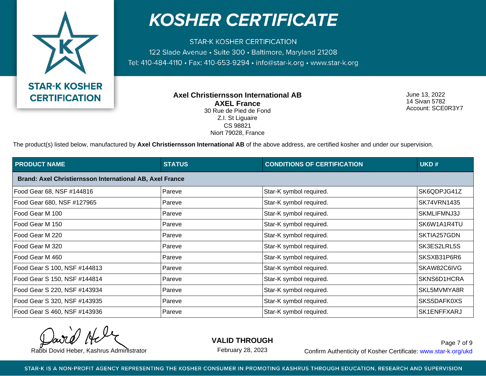

**STAR-K KOSHER CERTIFICATION** 122 Slade Avenue · Suite 300 · Baltimore, Maryland 21208 Tel: 410-484-4110 · Fax: 410-653-9294 · info@star-k.org · www.star-k.org

> **Axel Christiernsson International AB AXEL France** 30 Rue de Pied de Fond Z.I. St Liguaire CS 98821

Niort 79028, France

June 13, 2022 14 Sivan 5782 Account: SCE0R3Y7

The product(s) listed below, manufactured by **Axel Christiernsson International AB** of the above address, are certified kosher and under our supervision.

| <b>PRODUCT NAME</b>                                      | <b>STATUS</b> | <b>CONDITIONS OF CERTIFICATION</b> | UKD#               |
|----------------------------------------------------------|---------------|------------------------------------|--------------------|
| Brand: Axel Christiernsson International AB, Axel France |               |                                    |                    |
| Food Gear 68, NSF #144816                                | Pareve        | Star-K symbol required.            | SK6QDPJG41Z        |
| Food Gear 680, NSF #127965                               | Pareve        | Star-K symbol required.            | <b>SK74VRN1435</b> |
| Food Gear M 100                                          | Pareve        | Star-K symbol required.            | SKMLIFMNJ3J        |
| Food Gear M 150                                          | Pareve        | Star-K symbol required.            | SK6W1A1R4TU        |
| Food Gear M 220                                          | Pareve        | Star-K symbol required.            | SKTIA257GDN        |
| Food Gear M 320                                          | Pareve        | Star-K symbol required.            | SK3ES2LRL5S        |
| Food Gear M 460                                          | Pareve        | Star-K symbol required.            | SKSXB31P6R6        |
| Food Gear S 100, NSF #144813                             | Pareve        | Star-K symbol required.            | SKAW82C6IVG        |
| Food Gear S 150, NSF #144814                             | Pareve        | Star-K symbol required.            | SKNS6D1HCRA        |
| Food Gear S 220, NSF #143934                             | Pareve        | Star-K symbol required.            | SKL5MVMYA8R        |
| Food Gear S 320, NSF #143935                             | Pareve        | Star-K symbol required.            | SKS5DAFK0XS        |
| Food Gear S 460, NSF #143936                             | Pareve        | Star-K symbol required.            | SK1ENFFXARJ        |

**VALID THROUGH**

February 28, 2023

Rabbi Dovid Heber, Kashrus Administrator **Confirm Authenticity of Kosher Certificate:** www.star-k.org/ukd Page 7 of 9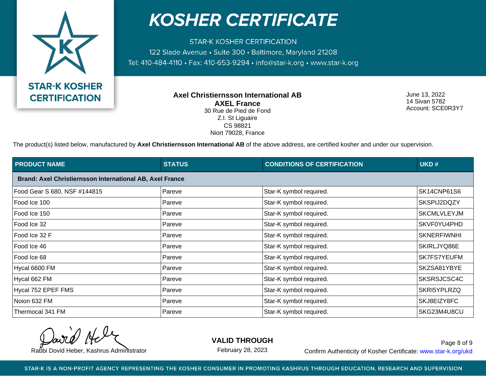

**STAR-K KOSHER CERTIFICATION** 122 Slade Avenue · Suite 300 · Baltimore, Maryland 21208 Tel: 410-484-4110 · Fax: 410-653-9294 · info@star-k.org · www.star-k.org

> **Axel Christiernsson International AB AXEL France** 30 Rue de Pied de Fond Z.I. St Liguaire CS 98821 Niort 79028, France

June 13, 2022 14 Sivan 5782 Account: SCE0R3Y7

The product(s) listed below, manufactured by Axel Christiernsson International AB of the above address, are certified kosher and under our supervision.

| <b>PRODUCT NAME</b>                                      | <b>STATUS</b> | <b>CONDITIONS OF CERTIFICATION</b> | UKD#               |
|----------------------------------------------------------|---------------|------------------------------------|--------------------|
| Brand: Axel Christiernsson International AB, Axel France |               |                                    |                    |
| Food Gear S 680, NSF #144815                             | Pareve        | Star-K symbol required.            | SK14CNP61S6        |
| Food Ice 100                                             | Pareve        | Star-K symbol required.            | SKSPIJ2DQZY        |
| Food Ice 150                                             | Pareve        | Star-K symbol required.            | <b>SKCMLVLEYJM</b> |
| Food Ice 32                                              | Pareve        | Star-K symbol required.            | SKVF0YU4PHD        |
| Food Ice 32 F                                            | Pareve        | Star-K symbol required.            | <b>SKNERFIWNHI</b> |
| Food Ice 46                                              | Pareve        | Star-K symbol required.            | SKIRLJYQ86E        |
| Food Ice 68                                              | Pareve        | Star-K symbol required.            | SK7FS7YEUFM        |
| Hycal 6600 FM                                            | Pareve        | Star-K symbol required.            | SKZSA81YBYE        |
| Hycal 662 FM                                             | Pareve        | Star-K symbol required.            | SKSRSJCSC4C        |
| Hycal 752 EPEF FMS                                       | Pareve        | Star-K symbol required.            | SKRI5YPLRZQ        |
| Noion 632 FM                                             | Pareve        | Star-K symbol required.            | SKJ8EIZY8FC        |
| Thermocal 341 FM                                         | Pareve        | Star-K symbol required.            | SKG23M4U8CU        |

**VALID THROUGH**

February 28, 2023

Rabbi Dovid Heber, Kashrus Administrator **Confirm Authenticity of Kosher Certificate:** www.star-k.org/ukd Page 8 of 9